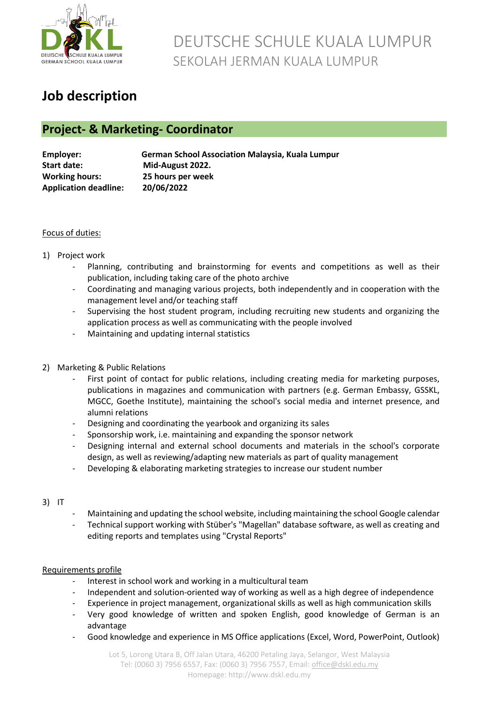

## DEUTSCHE SCHULE KUALA LUMPUR SEKOLAH JERMAN KUALA LUMPUR

### **Job description**

### **Project- & Marketing- Coordinator**

| Employer:                    | <b>German School Association Malaysia, Kuala Lumpur</b> |
|------------------------------|---------------------------------------------------------|
| <b>Start date:</b>           | Mid-August 2022.                                        |
| <b>Working hours:</b>        | 25 hours per week                                       |
| <b>Application deadline:</b> | 20/06/2022                                              |

#### Focus of duties:

#### 1) Project work

- Planning, contributing and brainstorming for events and competitions as well as their publication, including taking care of the photo archive
- Coordinating and managing various projects, both independently and in cooperation with the management level and/or teaching staff
- Supervising the host student program, including recruiting new students and organizing the application process as well as communicating with the people involved
- Maintaining and updating internal statistics
- 2) Marketing & Public Relations
	- First point of contact for public relations, including creating media for marketing purposes, publications in magazines and communication with partners (e.g. German Embassy, GSSKL, MGCC, Goethe Institute), maintaining the school's social media and internet presence, and alumni relations
	- Designing and coordinating the yearbook and organizing its sales
	- Sponsorship work, i.e. maintaining and expanding the sponsor network
	- Designing internal and external school documents and materials in the school's corporate design, as well as reviewing/adapting new materials as part of quality management
	- Developing & elaborating marketing strategies to increase our student number

#### 3) IT

- Maintaining and updating the school website, including maintaining the school Google calendar
- Technical support working with Stüber's "Magellan" database software, as well as creating and editing reports and templates using "Crystal Reports"

#### Requirements profile

- Interest in school work and working in a multicultural team
- Independent and solution-oriented way of working as well as a high degree of independence
- Experience in project management, organizational skills as well as high communication skills
- Very good knowledge of written and spoken English, good knowledge of German is an advantage
- Good knowledge and experience in MS Office applications (Excel, Word, PowerPoint, Outlook)